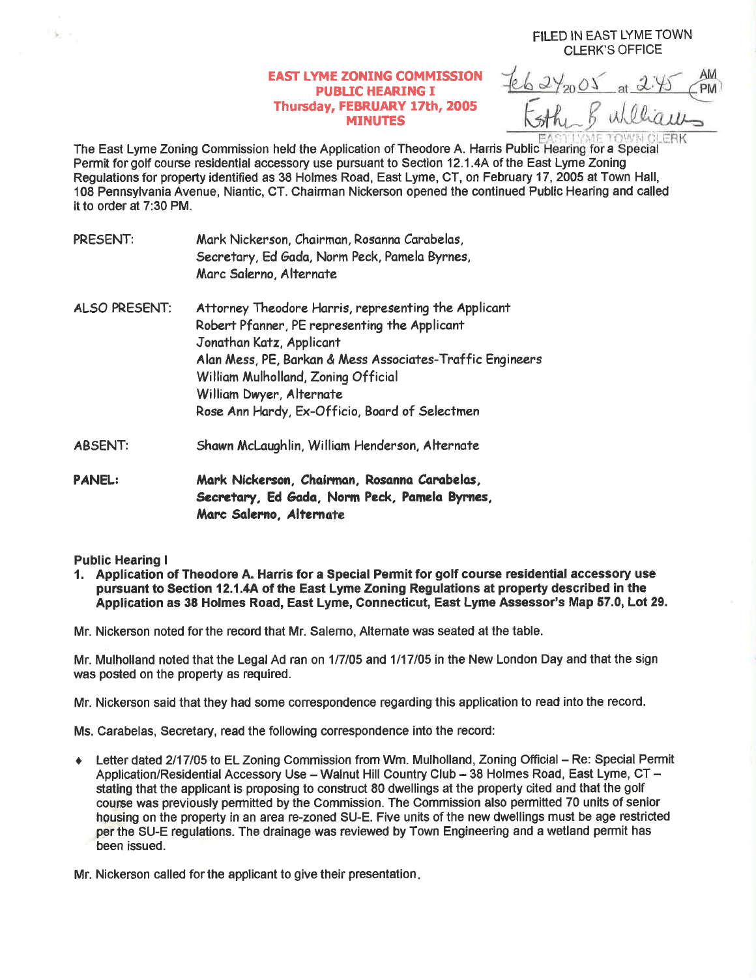## **EAST LYME ZONING COMMISSION** PUBLIC HEARING I Thursday, FEBRUARY 17th, 2005 MINUTES

 $62\frac{2005}{2000}$ **LERK** 

FILED IN EAST LYME TOWN CLERK'S OFFICE

The East Lyme Zoning Commission held the Application of Theodore A. Harris Public Hearing for a Special Permit for golf course residential accessory use pursuant to Section 12.1 .4A of the East Lyme Zoning Regulations for property identified as 38 Holmes Road, East Lyme, CT, on February 17,2005 at Town Hall, 108 Pennsylvania Avenue, Niantic, CT. Chairman Nickerson opened the continued Public Hearing and called it to order at 7:30 PM.

| PRESENT:       | Mark Nickerson, Chairman, Rosanna Carabelas,<br>Secretary, Ed Gada, Norm Peck, Pamela Byrnes,<br>Marc Salerno, Alternate                                                                                                                                                                                            |
|----------------|---------------------------------------------------------------------------------------------------------------------------------------------------------------------------------------------------------------------------------------------------------------------------------------------------------------------|
| ALSO PRESENT:  | Attorney Theodore Harris, representing the Applicant<br>Robert Pfanner, PE representing the Applicant<br>Jonathan Katz, Applicant<br>Alan Mess, PE, Barkan & Mess Associates-Traffic Engineers<br>William Mulholland, Zoning Official<br>William Dwyer, Alternate<br>Rose Ann Hardy, Ex-Officio, Board of Selectmen |
| <b>ABSENT:</b> | Shawn McLaughlin, William Henderson, Alternate                                                                                                                                                                                                                                                                      |
| <b>PANEL:</b>  | Mark Nickerson, Chairman, Rosanna Carabelas,<br>Secretary, Ed Gada, Norm Peck, Pamela Byrnes,<br>Marc Salerno, Alternate                                                                                                                                                                                            |

## Public Hearing I

s.

1. Application of Theodore A. Harris for a Special Permit for golf course residential accessory use pursuant to Section 12.1.4A of the East Lyme Zoning Regulations at property described in the Application as 38 Holmes Road, East Lyme, Connecticut, East Lyme Assessor's Map 57.0, Lot 29.

Mr. Nickerson noted for the record that Mr. Salerno, Altemate was seated at the table.

Mr. Mulholland noted that the Legal Ad ran on 1/7/05 and 1/17/05 in the New London Day and that the sign was posted on the property as required.

Mr. Nickerson said that they had some correspondence regarding this application to read into the record.

Ms. Carabelas, Secretary, read the following correspondence into the record:

• Letter dated 2/17/05 to EL Zoning Commission from Wm. Mulholland, Zoning Official - Re: Special Permit Application/Residential Accessory Use - Walnut Hill Country Club - 38 Holmes Road, East Lyme, CT stating that the applicant is proposing to construcf 80 dwellings at the property cited and that the golf course was previously permitted by the Commission. The Commission also permitted 70 units of senior hpusing on the property in an area re-zoned SU-E. Five units of the new dwellings must be age restricted per the SU-E regulations. The drainage was reviewed by Town Engineering and a wetland permit has been issued.

Mr. Nickerson called for the applicant to give their presentation.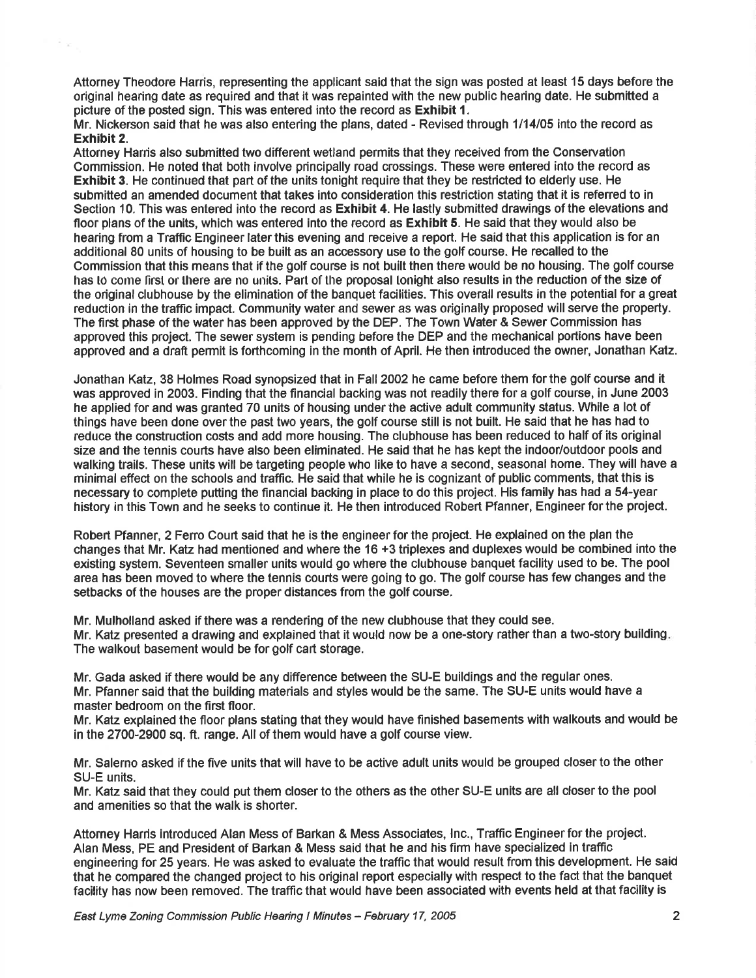Attorney Theodore Harris, representing the applicant said that the sign was posted at least 15 days before the original hearing date as required and that it was repainted with the new public hearing date. He submitted a picture of the posted sign. This was entered into the record as Exhibit 1.

Mr. Nickerson said that he was also entering the plans, dated - Revised through 1114105 into the record as Exhibit 2.

Attorney Hanis also submitted two different wetland permits that they received from the Conservation Commission. He noted that both involve principally road crossings. These were entered into the record as Exhibit 3. He continued that part of the units tonight require that they be restricted to elderly use. He submitted an amended document that takes into consideration this restriction stating that it is referred to in Section 10. This was entered into the record as Exhibit 4. He lastly submitted drawings of the elevations and floor plans of the units, which was entered into the record as **Exhibit 5**. He said that they would also be hearing from a Traffic Engineer later this evening and receive a report. He said that this application is for an additional 80 units of housing to be built as an accessory use to the golf oourse. He recalled to the Commission that this means that if the golf course is not built then there would be no housing. The golf course has to come first or there are no units. Part of the proposal lonight also results in the reduction of the size of the original clubhouse by the elimination of the banquet facilities. This overall results in the potential for a great reduction in the traffic impact. Community water and sewer as was originally proposed will serve the property. The first phase of the water has been approved by the DEP. The Town Water & Sewer Commission has approved this project. The sewer system is pending before the DEP and the mechanical portions have been approved and a draft permit is forthcoming in the month of April. He then introduced the owner, Jonathan Katz.

Jonathan Katz, 38 Holmes Road synopsized that in Fall 2002 he came before them for the golf course and it was approved in 2003. Finding that the financial backing was not readily there for a golf course, in June 2003 he applied for and was granted 70 units of housing under the active adult community status. While a lot of things have been done over the past two years, the golf course still is not built. He said that he has had to reduce the construction costs and add more housing. The clubhouse has been reduced to half of its original size and the tennis courts have also been eliminated. He said that he has kept the indoor/outdoor pools and walking trails. These units will be targeting people who like to have a second, seasonal home. They will have a minimal effect on the schools and traffic. He said that while he is cognizant of public comments, that this is necessary to complete putting the financial backing in place to do this project. His family has had a 54-year history in this Town and he seeks to continue it. He then introduced Robert Pfanner, Engineer for the project.

Robert Pfanner, 2 Feno Court said that he is the engineer for the project. He explained on the plan the changes that Mr. Katz had mentioned and where the 16 +3 triplexes and duplexes would be combined into the existing system. Seventeen smaller units would go where the clubhouse banquet facility used to be. The pool area has been moved to where the tennis courts were going to go. The golf course has few changes and the setbacks of the houses are the proper distances from the golf course.

Mr. Mulholland asked if there was a rendering of the new clubhouse that they could see. Mr. Katz presented a drawing and explained that it would now be a one-story rather than a two-story building The walkout basement would be for golf cart storage.

Mr. Gada asked if there would be any difference between the SU-E buildings and the regular ones. Mr. Pfanner said that the building materials and styles would be the same. The SU-E units would have a master bedroom on the first floor.

Mr. Katz explained the floor plans stating that they would have finished basements with walkouts and would be in the 2700-2900 sq. ft. range. All of them would have a golf course view.

Mr. Salerno asked if the five units that will have to be active adult units would be grouped closer to the other SU-E units.

Mr. Katz said that they could put them closer to the others as the other SU-E units are all closer to the pool and amenities so that the walk is shorter.

Attomey Harris introduced Alan Mess of Barkan & Mess Associates, lnc., Traffic Engineer for the project. Alan Mess, PE and President of Barkan & Mess said that he and his firm have specialized in traffic engineering for 25 years. He was asked to evaluate the traffic that would result from this development. He said that he compared the changed project to his original report especially with respect to the fact that the banquet facility has now been removed. The traffic that would have been associated with events held at that facility is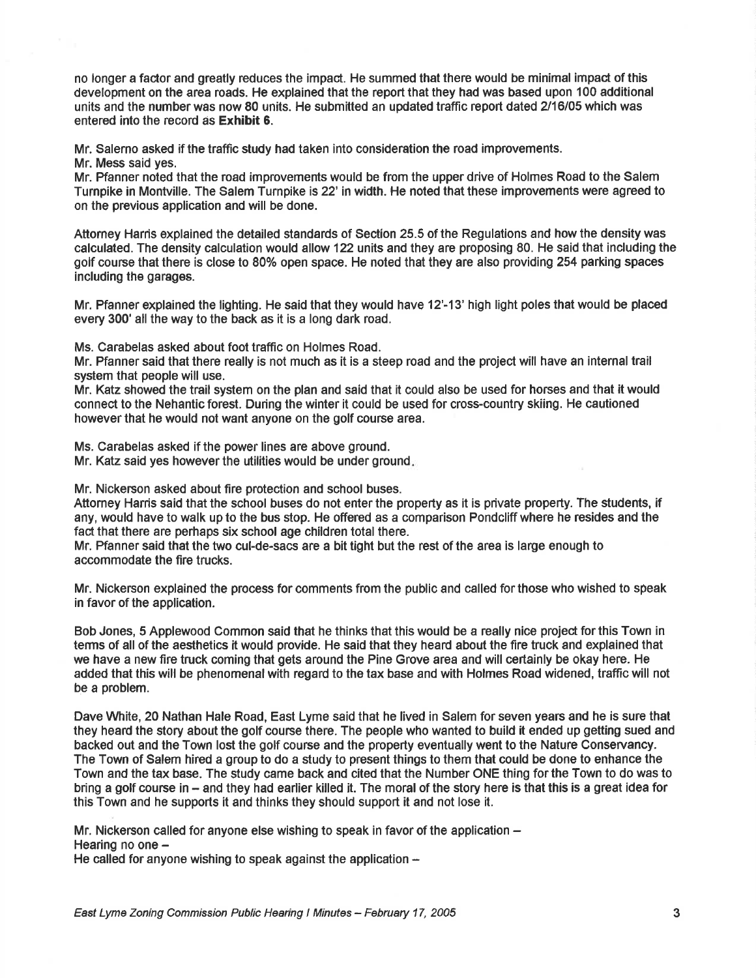no longer a factor and greatly reduces the impact. He summed that there would be minimal impact of this development on the area roads. He explained that the report that they had was based upon 100 additional units and the number was now 80 units. He submitted an updated traffic report dated 2/16/05 which was entered into the record as Exhibit 6.

Mr. Salerno asked if the traffic study had taken into consideration the road improvements.

Mr. Mess said yes.

Mr. Pfanner noted that the road improvements would be from the upper drive of Holmes Road to the Salem Turnpike in Montville. The Salem Turnpike is 22' in width. He noted that these improvements were agreed to on the previous application and will be done.

Aftorney Harris explained the detailed standards of Section 25.5 of the Regulations and how the density was calculated. The density calculation would allow 122 units and they are proposing 80. He said that including the golf course that there is close to 800/o open space. He noted that they are also providing 254 parking spaces including the garages.

Mr. Pfanner explained the lighting. He said that they would have 12'-13' high light poles that would be placed every 300' all the way to the back as it is a long dark road.

Ms. Carabelas asked about foot traffic on Holmes Road.

Mr. Pfanner said that there really is not much as it is a steep road and the project will have an internal trail system that people will use.

Mr. Katz showed the trail system on the plan and said that it could also be used for horses and that it would connect to the Nehantic forest. During the winter it could be used for cross-country skiing. He cautioned however that he would not want anyone on the golf course area.

Ms. Carabelas asked if the power lines are above ground. Mr. Katz said yes however the utilities would be under ground.

Mr. Nickerson asked about fire protection and school buses.

Attorney Harris said that the school buses do not enter the property as it is private property. The students, if any, would have to walk up to the bus stop. He offered as a comparison Pondcliff where he resides and the fact that there are perhaps six school age children total there.

Mr. Pfanner said that the two cul-de-sacs are a bit tight but the rest of the area is large enough to accommodate the fire trucks.

Mr. Nickerson explained the process for comments from the public and called for those who wished to speak in favor of the application.

Bob Jones, 5 Applewood Common said that he thinks that this would be a really nice project for this Town in terms of all of the aesthetics it would provide. He said that they heard about the fire truck and explained that we have a new fire truck coming that gets around the Pine Grove area and will certainly be okay here. He added that this will be phenomenal with regard to the tax base and with Holmes Road widened, traffic will not be a problem.

Dave White, 20 Nathan Hale Road, East Lyme said that he lived in Salem for seven years and he is sure that they heard the story about the golf course there. The people who wanted to build it ended up getting sued and backed out and the Town lost the golf course and the property eventually went to the Nature Conservancy. The Town of Salem hired a group to do a study to present things to them that could be done to enhance the Town and the tax base. The study came back and cited that the Number ONE thing forthe Town to do was to bring a golf course in - and they had earlier killed it. The moral of the story here is that this is a great idea for this Town and he supports it and thinks they should support it and not lose it.

Mr. Nickerson called for anyone else wishing to speak in favor of the application  $-$ Hearing no one -

He called for anyone wishing to speak against the application  $-$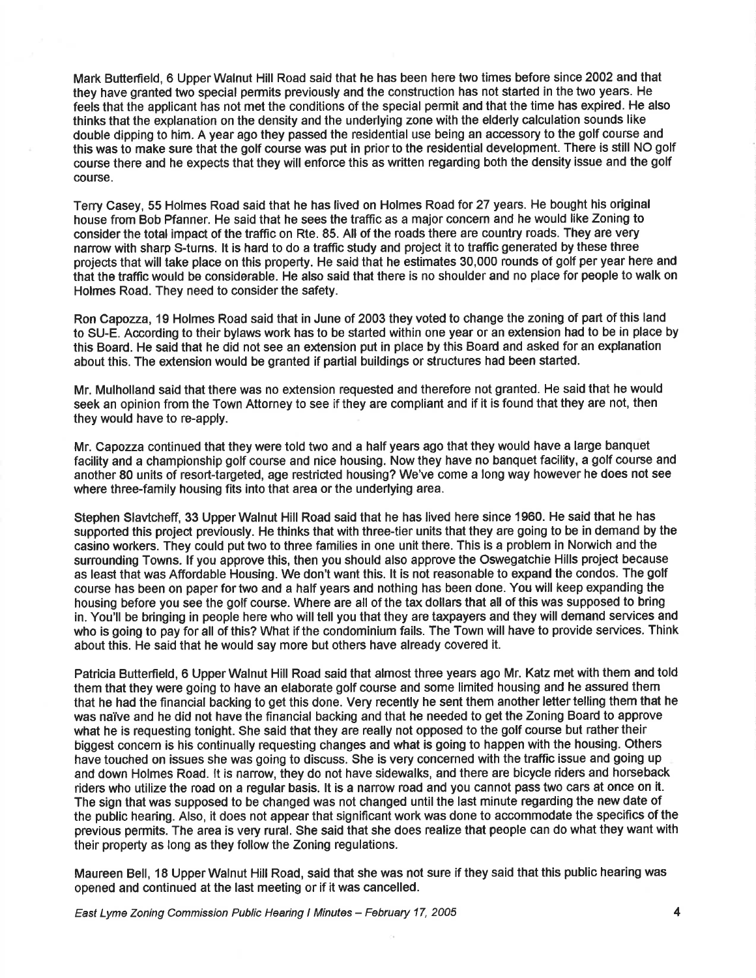Mark Butterfield, 6 Upper Walnut Hill Road said that he has been here two times before since 2002 and that they have granted two special permits previously and the construction has not started in the two years. He feels that the applicant has not met the conditions of the special permit and that the time has expired. He also thinks that the explanation on the density and the underlying zone with the elderly calculation sounds like double dipping to him. A year ago they passed the residential use being an accessory to the golf course and this was to make sure that the golf course was put in prior to the residential development. There is still NO golf course there and he expects that they will enforce this as written regarding both the density issue and the golf course.

Terry Casey, 55 Holmes Road said that he has lived on Holmes Road for 27 years. He bought his original house from Bob Pfanner. He said that he sees the traffic as a major concem and he would like Zoning to consider the total impact of the traffic on Rte. 85. All of the roads there are country roads. They are very narrow with sharp S-turns. lt is hard to do a traffic study and project it to traffic generated by these three projects that will take place on this property. He said that he estimates 30,000 rounds of golf per year here and that the traffic would be considerable. He also said that there is no shoulder and no place for people to walk on Holmes Road. They need to consider the safety.

Ron Capozza, 19 Holmes Road said that in June of 2003 they voted to change the zoning of part of this land to SU-E. According to their bylaws work has to be started within one year or an extension had to be in place by this Board. He said that he did not see an extension put in place by this Board and asked for an explanation about this. The extension would be granted if partial buildings or structures had been started.

Mr. Mulholland said that there was no extension requested and therefore not granted. He said that he would seek an opinion from the Town Attorney to see if they are compliant and if it is found that they are not, then they would have to re-apply.

Mr. Capozza continued that they were told two and a half years ago that they would have a large banquet facility and a championship golf course and nice housing. Now they have no banquet facility, a golf course and another 80 units of resort-targeted, age restricted housing? We've come a long way however he does not see where three-family housing fits into that area or the underlying area.

Stephen Slavtcheff, 33 Upper Walnut Hill Road said that he has lived here since 1960. He said that he has supported this project previously. He thinks that with three-tier units that they are going to be in demand by the casino workers. They could put two to three families in one unit there. This is a problem in Norwich and the surrounding Towns. lf you approve this, then you should also approve the Oswegatchie Hills project because as least that was Affordable Housing. We don't want this. lt is not reasonable to expand the condos. The golf course has been on paper for two and a half years and nothing has been done. You will keep expanding the housing before you see the golf course. Where are all of the tax dollars that all of this was supposed to bring in. You'll be bringing in people here who will tell you that they are taxpayers and they will demand services and who is going to pay for all of this? What if the condominium fails. The Town will have to provide services. Think about this. He said that he would say more but others have already covered it.

Patricia Butterfield, 6 Upper Walnut Hill Road said that almost three years ago Mr. Katz met with them and told them that they were going to have an elaborate golf course and some limited housing and he assured them that he had the flnancial backing to get this done. Very recently he sent them another lettertelling them that he was naiVe and he did not have the financial backing and that he needed to get the Zoning Board to approve what he is requesting tonight. She said that they are really not opposed to the golf course but rather their biggest concern is his continually requesting changes and what is going to happen with the housing. Others have touched on issues she was going to discuss. She is very concerned with the traffic issue and going up and down Holmes Road. lt is narrow, they do not have sidewalks, and there are bicycle riders and horseback riders who utilize the road on a regular basis. lt is a narrow road and you cannot pass two cars at once on it. The sign that was supposed to be changed was not changed until the last minute regarding the new date of the public hearing. Also, it does not appear that significant work was done to accommodate the specifics of the previous permits. The area is very rural. She said that she does realize that people can do what they want with their property as long as they follow the Zoning regulations.

Maureen Bell, 18 Upper Walnut Hill Road, said that she was not sure if they said that this public hearing was opened and continued at the last meeting or if it was cancelled.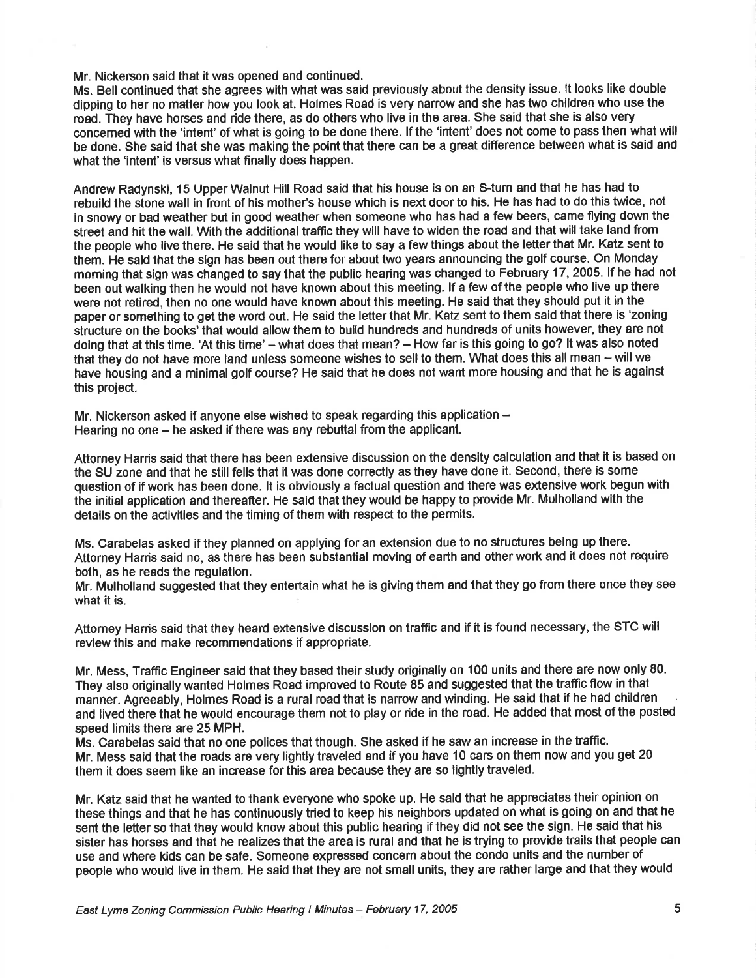Mr. Nickerson said that it was opened and continued.

Ms. Bell continued that she agrees with what was said previously about the density issue. lt looks like double dipping to her no matter how you look at. Holmes Road is very narrow and she has two children who use the road. They have horses and ride there, as do others who live in the area. She said that she is also very concemed with the 'intent' of what is going to be done there. lf the 'intent' does not come to pass then what will be done. She said that she was making the point that there can be a great difference between what is said and what the 'intent' is versus what finally does happen.

Andrew Radynski, 15 Upper Walnut Hill Road said that his house is on an S-turn and that he has had to rebuild the stone wall in front of his mother's house which is next door to his. He has had to do this twice, not in snowy or bad weather but in good weather when someone who has had a few beers, came flying down the street and hit the wall. With the additional traffic they will have to widen the road and that will take land from the people who live there. He said that he would like to say a few things about the letter that Mr. Katz sent to them. He sald that the sign has been out there for about two years announcing the golf course. On Monday morning that sign was changed to say that the public heafing was changed to February 17,2005. lf he had not been out walking then he would not have known about this meeting. lf a few of the people who live up there were not retired, then no one would have known about this meeting. He said that they should put it in the paper or something to get the word out. He said the letter that Mr. Katz sent to them said that there is 'zoning structure on the books'that would allow them to build hundreds and hundreds of units however, they are not doing that at this time. 'At this time' – what does that mean? – How far is this going to go? It was also noted that they do not have more land unless someone wishes to sell to them. What does this all mean - will we have housing and a minimal golf course? He said that he does not want more housing and that he is against this project.

Mr. Nickerson asked if anyone else wished to speak regarding this application  $-$ Hearing no one – he asked if there was any rebuttal from the applicant.

Attorney Harris said that there has been extensive discussion on the density calculation and that it is based on the SU zone and that he still fells that it was done correctly as they have done it. Second, there is some question of if work has been done. lt is obviously a factual question and there was extensive work begun with the initial application and thereafter. He said that they would be happy to provide Mr. Mulholland with the details on the activities and the timing of them with respect to the permits.

Ms. Carabelas asked if they planned on applying for an extension due to no structures being up there. Attorney Harris said no, as there has been substantial moving of earth and other work and it does not require both, as he reads the regulation.

Mr. Mulholland suggested that they entertain what he is giving them and that they go from there once they see what it is.

Attomey Hanis said that they heard extensive discussion on traffic and if it is found necessary, the STC will review this and make recommendations if appropriate.

Mr. Mess, Traffic Engineer said that they based their study originally on 100 units and there are now only 80. They also originally wanted Holmes Road improved to Route 85 and suggested that the traffic flow in that manner. Agreeably, Holmes Road is a rural road that is narrow and winding. He said that if he had children and lived there that he would encourage them not to play or ride in the road. He added that most of the posted speed limits there are 25 MPH.

Ms. Carabelas said that no one polices that though. She asked if he saw an increase in the traffic. Mr. Mess said that the roads are very lightly traveled and if you have 10 cars on them now and you get 20 them it does seem like an increase for this area because they are so lightly traveled.

Mr. Katz said that he wanted to thank everyone who spoke up. He said that he appreciates their opinion on these things and that he has continuously tried to keep his neighbors updated on what is going on and that he sent the letter so that they would know about this public hearing if they did not see the sign. He said that his sister has horses and that he realizes that the area is rural and that he is trying to provide trails that people can use and where kids can be safe. Someone expressed concem about the condo units and the number of people who would live in them. He said that they are not small units, they are rather large and that they would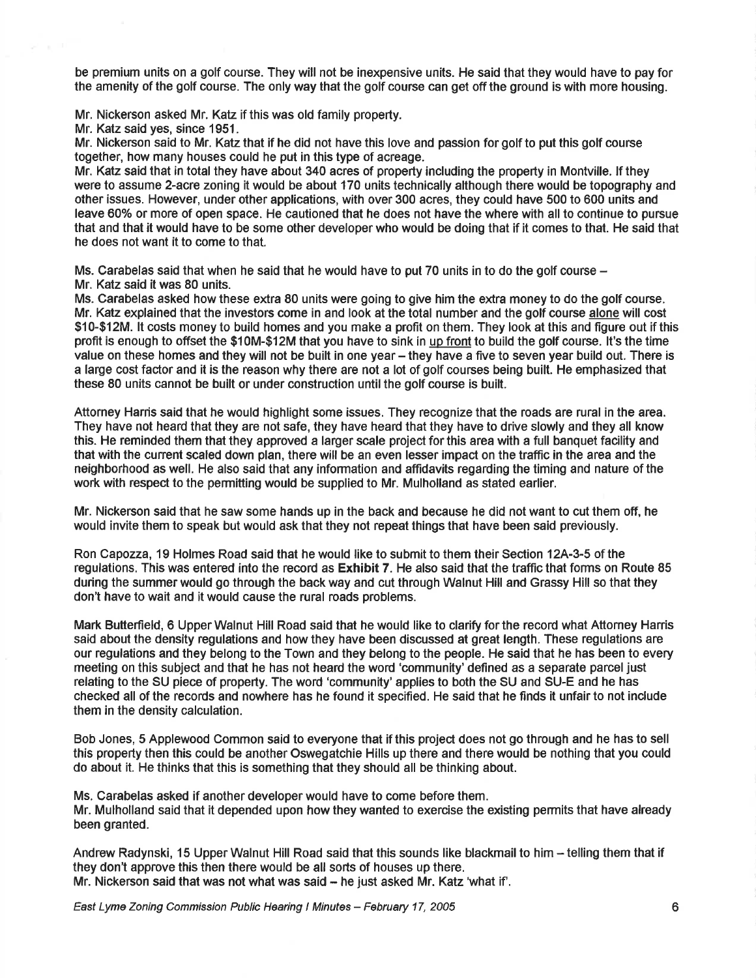be premium units on a golf course. They will not be inexpensive units. He said that they would have to pay for the amenity of the golf course. The only way that the golf course can get off the ground is with more housing.

Mr. Nickerson asked Mr. Katz if this was old family property.

Mr. Katz said yes, since 1951.

Mr. Nickerson said to Mr. Katz that if he did not have this love and passion for golf to put this golf course together, how many houses could he put in this type of acreage.

Mr. Katz said that in total they have about 340 acres of property including the property in Montville. lf they were to assume 2-acre zoning it would be about 170 units technically although there would be topography and other issues. However, under other applications, with over 300 acres, they could have 500 to 600 units and leave 60% or more of open space. He cautioned that he does not have the where with all to continue to pursue that and that it would have to be some other developer who would be doing that if it comes to that. He said that he does not want it to come to that.

Ms. Carabelas said that when he said that he would have to put 70 units in to do the golf course  $-$ Mr. Katz said it was 80 units.

Ms. Carabelas asked how these extra 80 units were going to give him the extra money to do the golf course. Mr. Katz explained that the investors come in and look at the total number and the golf course alone will cost \$10-\$12M. lt costs money to build homes and you make a profit on them. They look at this and figure out if this profit is enough to offset the \$10M-\$12M that you have to sink in up front to build the golf course. lt's the time value on these homes and they will not be built in one year – they have a five to seven year build out. There is a large cost factor and it is the reason why there are not a lot of golf courses being built. He emphasized that these 80 units cannot be built or under construction until the golf course is built.

Attorney Harris said that he would highlight some issues. They recognize that the roads are rural in the area. They have not heard that they are not safe, they have heard that they have to drive slowly and they all know this. He reminded them that they approved a larger scale project for this area with a full banquet facility and that with the cunent scaled down plan, there will be an even lesser impact on the traffic in the area and the neighborhood as well. He also said that any information and affidavits regarding the timing and nature of the work with respect to the permitting would be supplied to Mr. Mulholland as stated earlier.

Mr. Nickerson said that he saw some hands up in the back and because he did not want to cut them off, he would invite them to speak but would ask that they not repeat things that have been said previously.

Ron Capozza, 19 Holmes Road said that he would like to submit to them their Section 12A-3-5 of the regulations. This was entered into the record as Exhibit 7. He also said that the traffic that forms on Route 85 during the summer would go through the back way and cut through Walnut Hill and Grassy Hill so that they don't have to wait and it would cause the rural roads problems.

Mark Butterfield, 6 Upper Walnut Hill Road said that he would like to clarify for the record what Attorney Harris said about the density regulations and how they have been discussed at great length. These regulations are our regulations and they belong to the Town and they belong to the people. He said that he has been to every meeting on this subject and that he has not heard the word 'community' defined as a separate parcel just relating to the SU piece of property. The word 'community' applies to both the SU and SU-E and he has checked all of the records and nowhere has he found it specified. He said that he finds it unfair to not include them in the density calculation.

Bob Jones, 5 Applewood Common said to everyone that if this project does not go through and he has to sell this property then this could be another Oswegatchie Hills up there and there would be nothing that you could do about it. He thinks that this is something that they should all be thinking about.

Ms. Carabelas asked if another developer would have to come before them. Mr. Mulholland said that it depended upon how they wanted to exercise the existing permits that have already been granted.

Andrew Radynski, 15 Upper Walnut Hill Road said that this sounds like blackmail to him - telling them that if they don't approve this then there would be all sorts of houses up there. Mr. Nickerson said that was not what was said - he just asked Mr. Katz 'what if'.

East Lyme Zoning Commission Public Hearing I Minutes - February 17, 2005 6